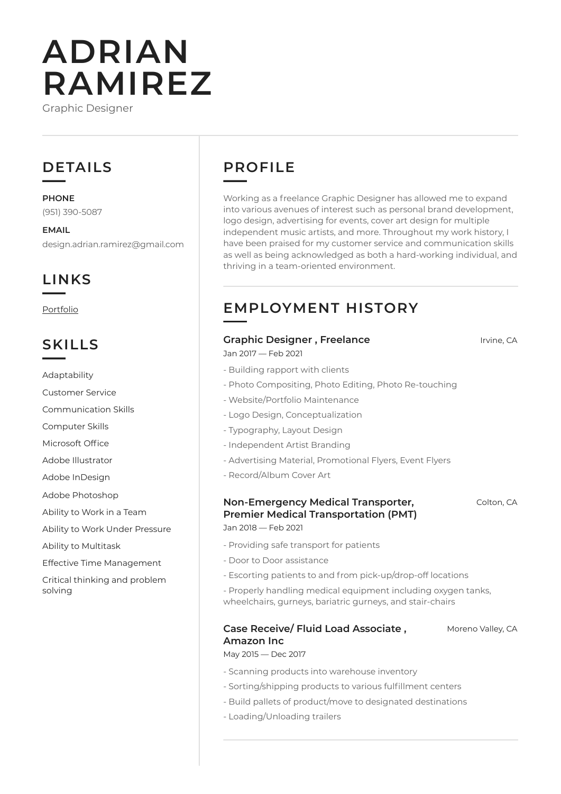# **ADRIAN RAMIREZ**

Graphic Designer

# **DETAILS**

**PHONE** (951) 390-5087

**EMAIL** design.adrian.ramirez@gmail.com

# **LINKS**

[Portfolio](http://www.aramirez.design) 

### **SKILLS**

Adaptability

Customer Service

Communication Skills

Computer Skills

Microsoft Office

Adobe Illustrator

Adobe InDesign

Adobe Photoshop

Ability to Work in a Team

Ability to Work Under Pressure

Ability to Multitask

Effective Time Management

Critical thinking and problem solving

# **PROFILE**

Working as a freelance Graphic Designer has allowed me to expand into various avenues of interest such as personal brand development, logo design, advertising for events, cover art design for multiple independent music artists, and more. Throughout my work history, I have been praised for my customer service and communication skills as well as being acknowledged as both a hard-working individual, and thriving in a team-oriented environment.

# **EMPLOYMENT HISTORY**

#### **Graphic Designer , Freelance Integrals** *Irvine, CA*

Jan 2017 — Feb 2021

- Building rapport with clients
- Photo Compositing, Photo Editing, Photo Re-touching
- Website/Portfolio Maintenance
- Logo Design, Conceptualization
- Typography, Layout Design
- Independent Artist Branding
- Advertising Material, Promotional Flyers, Event Flyers
- Record/Album Cover Art

#### **Non-Emergency Medical Transporter, Premier Medical Transportation (PMT)** Jan 2018 — Feb 2021

Colton, CA

- Providing safe transport for patients
- Door to Door assistance
- Escorting patients to and from pick-up/drop-off locations
- Properly handling medical equipment including oxygen tanks, wheelchairs, gurneys, bariatric gurneys, and stair-chairs

#### **Case Receive/ Fluid Load Associate , Amazon Inc** Moreno Valley, CA

May 2015 — Dec 2017

- Scanning products into warehouse inventory
- Sorting/shipping products to various fulfillment centers
- Build pallets of product/move to designated destinations
- Loading/Unloading trailers